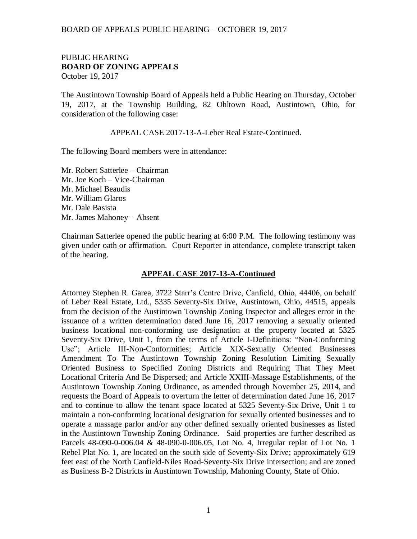## BOARD OF APPEALS PUBLIC HEARING – OCTOBER 19, 2017

## PUBLIC HEARING **BOARD OF ZONING APPEALS**  October 19, 2017

The Austintown Township Board of Appeals held a Public Hearing on Thursday, October 19, 2017, at the Township Building, 82 Ohltown Road, Austintown, Ohio, for consideration of the following case:

APPEAL CASE 2017-13-A-Leber Real Estate-Continued.

The following Board members were in attendance:

Mr. Robert Satterlee – Chairman Mr. Joe Koch – Vice-Chairman Mr. Michael Beaudis Mr. William Glaros Mr. Dale Basista Mr. James Mahoney – Absent

Chairman Satterlee opened the public hearing at 6:00 P.M. The following testimony was given under oath or affirmation. Court Reporter in attendance, complete transcript taken of the hearing.

## **APPEAL CASE 2017-13-A-Continued**

Attorney Stephen R. Garea, 3722 Starr's Centre Drive, Canfield, Ohio, 44406, on behalf of Leber Real Estate, Ltd., 5335 Seventy-Six Drive, Austintown, Ohio, 44515, appeals from the decision of the Austintown Township Zoning Inspector and alleges error in the issuance of a written determination dated June 16, 2017 removing a sexually oriented business locational non-conforming use designation at the property located at 5325 Seventy-Six Drive, Unit 1, from the terms of Article I-Definitions: "Non-Conforming Use"; Article III-Non-Conformities; Article XIX-Sexually Oriented Businesses Amendment To The Austintown Township Zoning Resolution Limiting Sexually Oriented Business to Specified Zoning Districts and Requiring That They Meet Locational Criteria And Be Dispersed; and Article XXIII-Massage Establishments, of the Austintown Township Zoning Ordinance, as amended through November 25, 2014, and requests the Board of Appeals to overturn the letter of determination dated June 16, 2017 and to continue to allow the tenant space located at 5325 Seventy-Six Drive, Unit 1 to maintain a non-conforming locational designation for sexually oriented businesses and to operate a massage parlor and/or any other defined sexually oriented businesses as listed in the Austintown Township Zoning Ordinance. Said properties are further described as Parcels 48-090-0-006.04 & 48-090-0-006.05, Lot No. 4, Irregular replat of Lot No. 1 Rebel Plat No. 1, are located on the south side of Seventy-Six Drive; approximately 619 feet east of the North Canfield-Niles Road-Seventy-Six Drive intersection; and are zoned as Business B-2 Districts in Austintown Township, Mahoning County, State of Ohio.